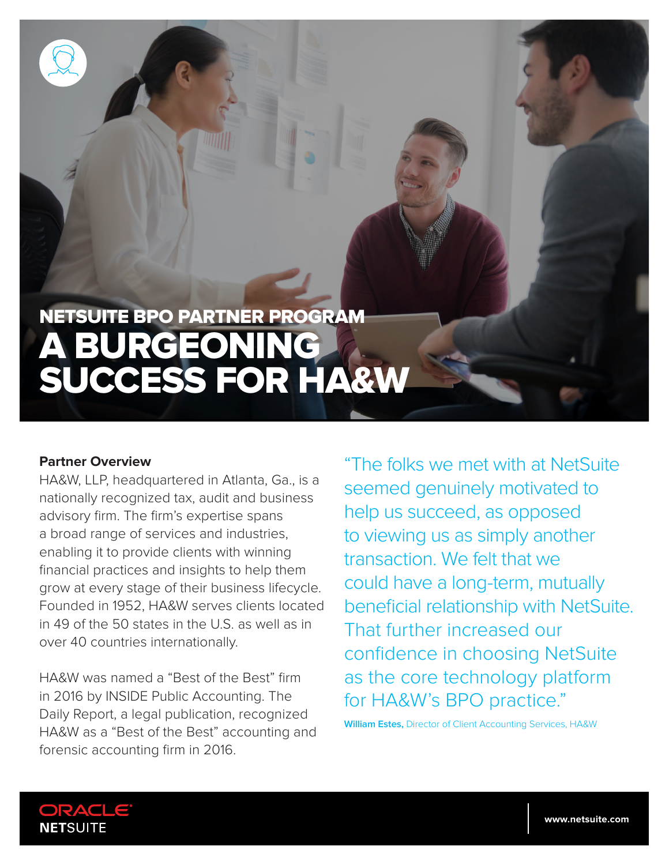

#### **Partner Overview**

HA&W, LLP, headquartered in Atlanta, Ga., is a nationally recognized tax, audit and business advisory firm. The firm's expertise spans a broad range of services and industries, enabling it to provide clients with winning financial practices and insights to help them grow at every stage of their business lifecycle. Founded in 1952, HA&W serves clients located in 49 of the 50 states in the U.S. as well as in over 40 countries internationally.

HA&W was named a "Best of the Best" firm in 2016 by INSIDE Public Accounting. The Daily Report, a legal publication, recognized HA&W as a "Best of the Best" accounting and forensic accounting firm in 2016.

"The folks we met with at NetSuite seemed genuinely motivated to help us succeed, as opposed to viewing us as simply another transaction. We felt that we could have a long-term, mutually beneficial relationship with NetSuite. That further increased our confidence in choosing NetSuite as the core technology platform for HA&W's BPO practice."

**William Estes,** Director of Client Accounting Services, HA&W

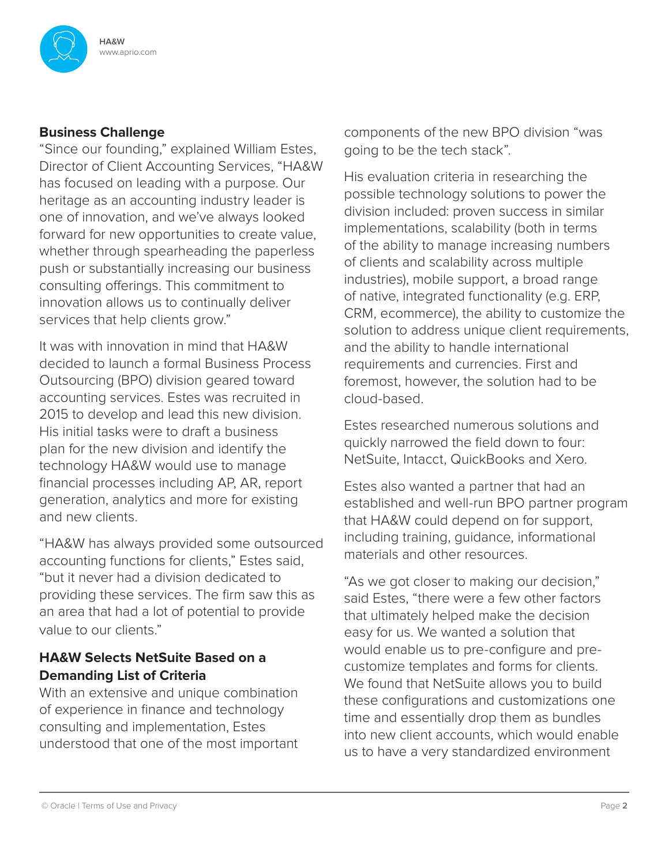

## **Business Challenge**

"Since our founding," explained William Estes, Director of Client Accounting Services, "HA&W has focused on leading with a purpose. Our heritage as an accounting industry leader is one of innovation, and we've always looked forward for new opportunities to create value, whether through spearheading the paperless push or substantially increasing our business consulting offerings. This commitment to innovation allows us to continually deliver services that help clients grow."

It was with innovation in mind that HA&W decided to launch a formal Business Process Outsourcing (BPO) division geared toward accounting services. Estes was recruited in 2015 to develop and lead this new division. His initial tasks were to draft a business plan for the new division and identify the technology HA&W would use to manage financial processes including AP, AR, report generation, analytics and more for existing and new clients.

"HA&W has always provided some outsourced accounting functions for clients," Estes said, "but it never had a division dedicated to providing these services. The firm saw this as an area that had a lot of potential to provide value to our clients."

# **HA&W Selects NetSuite Based on a Demanding List of Criteria**

With an extensive and unique combination of experience in finance and technology consulting and implementation, Estes understood that one of the most important components of the new BPO division "was going to be the tech stack".

His evaluation criteria in researching the possible technology solutions to power the division included: proven success in similar implementations, scalability (both in terms of the ability to manage increasing numbers of clients and scalability across multiple industries), mobile support, a broad range of native, integrated functionality (e.g. ERP, CRM, ecommerce), the ability to customize the solution to address unique client requirements, and the ability to handle international requirements and currencies. First and foremost, however, the solution had to be cloud-based.

Estes researched numerous solutions and quickly narrowed the field down to four: NetSuite, Intacct, QuickBooks and Xero.

Estes also wanted a partner that had an established and well-run BPO partner program that HA&W could depend on for support, including training, guidance, informational materials and other resources.

"As we got closer to making our decision," said Estes, "there were a few other factors that ultimately helped make the decision easy for us. We wanted a solution that would enable us to pre-configure and precustomize templates and forms for clients. We found that NetSuite allows you to build these configurations and customizations one time and essentially drop them as bundles into new client accounts, which would enable us to have a very standardized environment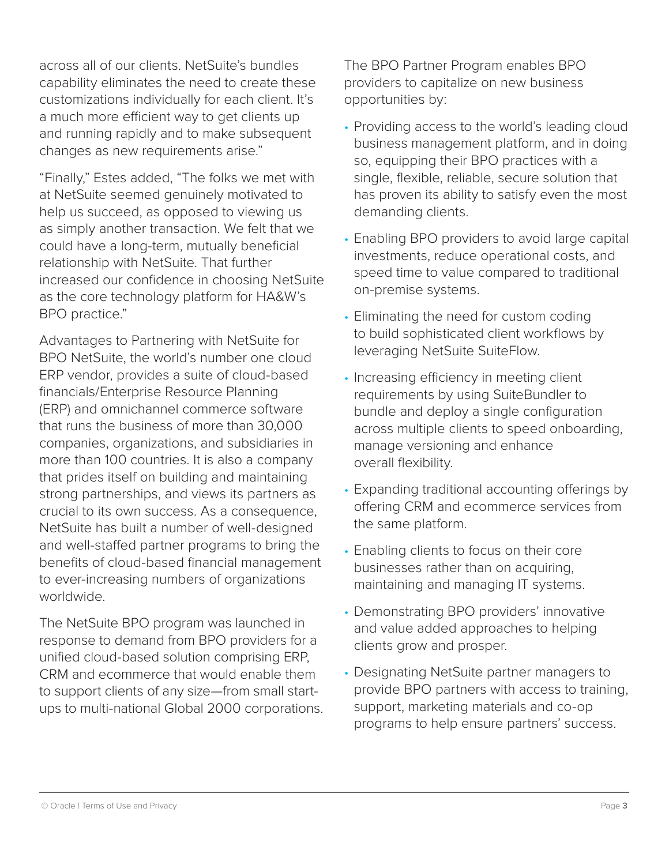across all of our clients. NetSuite's bundles capability eliminates the need to create these customizations individually for each client. It's a much more efficient way to get clients up and running rapidly and to make subsequent changes as new requirements arise."

"Finally," Estes added, "The folks we met with at NetSuite seemed genuinely motivated to help us succeed, as opposed to viewing us as simply another transaction. We felt that we could have a long-term, mutually beneficial relationship with NetSuite. That further increased our confidence in choosing NetSuite as the core technology platform for HA&W's BPO practice."

Advantages to Partnering with NetSuite for BPO NetSuite, the world's number one cloud ERP vendor, provides a suite of cloud-based financials/Enterprise Resource Planning (ERP) and omnichannel commerce software that runs the business of more than 30,000 companies, organizations, and subsidiaries in more than 100 countries. It is also a company that prides itself on building and maintaining strong partnerships, and views its partners as crucial to its own success. As a consequence, NetSuite has built a number of well-designed and well-staffed partner programs to bring the benefits of cloud-based financial management to ever-increasing numbers of organizations worldwide.

The NetSuite BPO program was launched in response to demand from BPO providers for a unified cloud-based solution comprising ERP, CRM and ecommerce that would enable them to support clients of any size—from small startups to multi-national Global 2000 corporations. The BPO Partner Program enables BPO providers to capitalize on new business opportunities by:

- Providing access to the world's leading cloud business management platform, and in doing so, equipping their BPO practices with a single, flexible, reliable, secure solution that has proven its ability to satisfy even the most demanding clients.
- Enabling BPO providers to avoid large capital investments, reduce operational costs, and speed time to value compared to traditional on-premise systems.
- Eliminating the need for custom coding to build sophisticated client workflows by leveraging NetSuite SuiteFlow.
- Increasing efficiency in meeting client requirements by using SuiteBundler to bundle and deploy a single configuration across multiple clients to speed onboarding, manage versioning and enhance overall flexibility.
- Expanding traditional accounting offerings by offering CRM and ecommerce services from the same platform.
- Enabling clients to focus on their core businesses rather than on acquiring, maintaining and managing IT systems.
- Demonstrating BPO providers' innovative and value added approaches to helping clients grow and prosper.
- Designating NetSuite partner managers to provide BPO partners with access to training, support, marketing materials and co-op programs to help ensure partners' success.